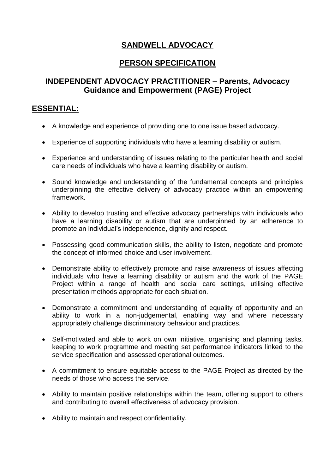# **SANDWELL ADVOCACY**

## **PERSON SPECIFICATION**

## **INDEPENDENT ADVOCACY PRACTITIONER – Parents, Advocacy Guidance and Empowerment (PAGE) Project**

### **ESSENTIAL:**

- A knowledge and experience of providing one to one issue based advocacy.
- Experience of supporting individuals who have a learning disability or autism.
- Experience and understanding of issues relating to the particular health and social care needs of individuals who have a learning disability or autism.
- Sound knowledge and understanding of the fundamental concepts and principles underpinning the effective delivery of advocacy practice within an empowering framework.
- Ability to develop trusting and effective advocacy partnerships with individuals who have a learning disability or autism that are underpinned by an adherence to promote an individual's independence, dignity and respect.
- Possessing good communication skills, the ability to listen, negotiate and promote the concept of informed choice and user involvement.
- Demonstrate ability to effectively promote and raise awareness of issues affecting individuals who have a learning disability or autism and the work of the PAGE Project within a range of health and social care settings, utilising effective presentation methods appropriate for each situation.
- Demonstrate a commitment and understanding of equality of opportunity and an ability to work in a non-judgemental, enabling way and where necessary appropriately challenge discriminatory behaviour and practices.
- Self-motivated and able to work on own initiative, organising and planning tasks, keeping to work programme and meeting set performance indicators linked to the service specification and assessed operational outcomes.
- A commitment to ensure equitable access to the PAGE Project as directed by the needs of those who access the service.
- Ability to maintain positive relationships within the team, offering support to others and contributing to overall effectiveness of advocacy provision.
- Ability to maintain and respect confidentiality.